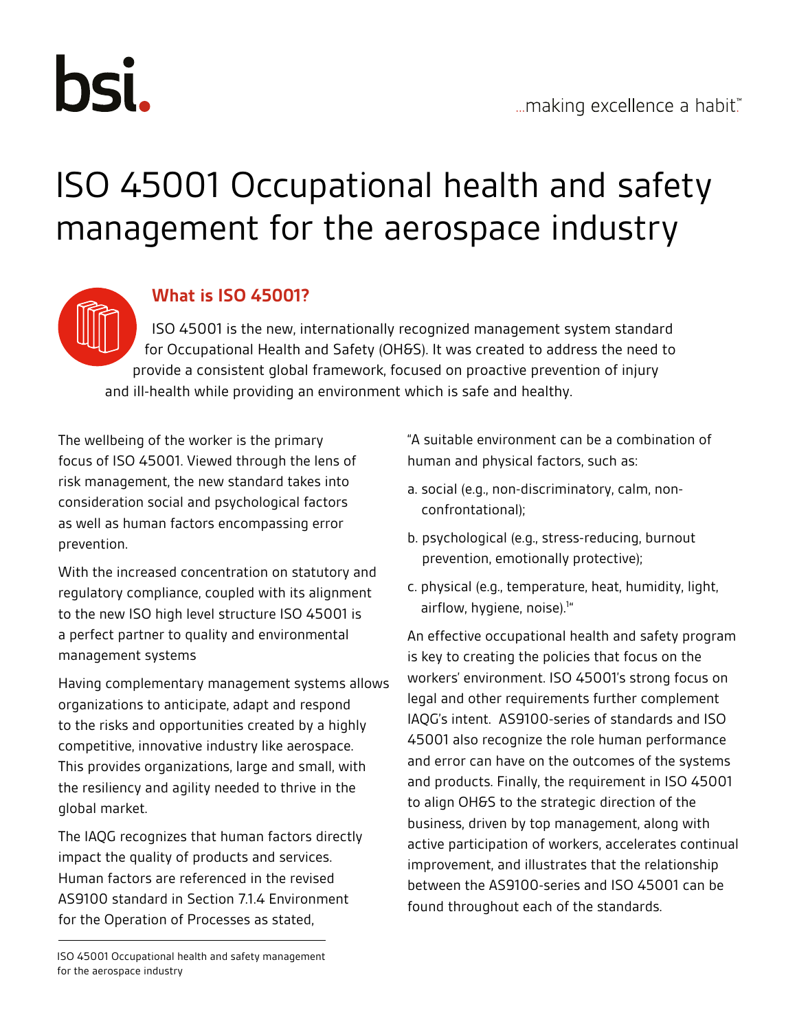

# ISO 45001 Occupational health and safety management for the aerospace industry

#### **What is ISO 45001?**

ISO 45001 is the new, internationally recognized management system standard for Occupational Health and Safety (OH&S). It was created to address the need to provide a consistent global framework, focused on proactive prevention of injury and ill-health while providing an environment which is safe and healthy.

The wellbeing of the worker is the primary focus of ISO 45001. Viewed through the lens of risk management, the new standard takes into consideration social and psychological factors as well as human factors encompassing error prevention.

With the increased concentration on statutory and regulatory compliance, coupled with its alignment to the new ISO high level structure ISO 45001 is a perfect partner to quality and environmental management systems

Having complementary management systems allows organizations to anticipate, adapt and respond to the risks and opportunities created by a highly competitive, innovative industry like aerospace. This provides organizations, large and small, with the resiliency and agility needed to thrive in the global market.

The IAQG recognizes that human factors directly impact the quality of products and services. Human factors are referenced in the revised AS9100 standard in Section 7.1.4 Environment for the Operation of Processes as stated,

"A suitable environment can be a combination of human and physical factors, such as:

- a. social (e.g., non-discriminatory, calm, nonconfrontational);
- b. psychological (e.g., stress-reducing, burnout prevention, emotionally protective);
- c. physical (e.g., temperature, heat, humidity, light, airflow, hygiene, noise).<sup>1"</sup>

An effective occupational health and safety program is key to creating the policies that focus on the workers' environment. ISO 45001's strong focus on legal and other requirements further complement IAQG's intent. AS9100-series of standards and ISO 45001 also recognize the role human performance and error can have on the outcomes of the systems and products. Finally, the requirement in ISO 45001 to align OH&S to the strategic direction of the business, driven by top management, along with active participation of workers, accelerates continual improvement, and illustrates that the relationship between the AS9100-series and ISO 45001 can be found throughout each of the standards.

ISO 45001 Occupational health and safety management for the aerospace industry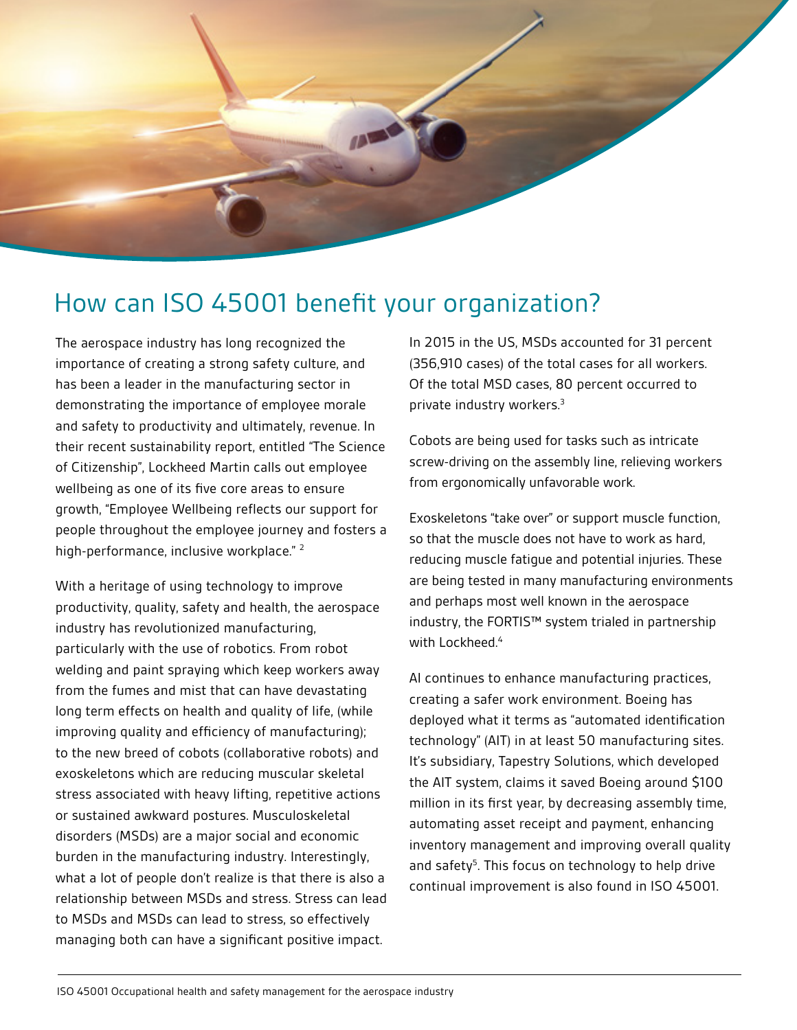

## How can ISO 45001 benefit your organization?

The aerospace industry has long recognized the importance of creating a strong safety culture, and has been a leader in the manufacturing sector in demonstrating the importance of employee morale and safety to productivity and ultimately, revenue. In their recent sustainability report, entitled "The Science of Citizenship", Lockheed Martin calls out employee wellbeing as one of its five core areas to ensure growth, "Employee Wellbeing reflects our support for people throughout the employee journey and fosters a high-performance, inclusive workplace."<sup>2</sup>

With a heritage of using technology to improve productivity, quality, safety and health, the aerospace industry has revolutionized manufacturing, particularly with the use of robotics. From robot welding and paint spraying which keep workers away from the fumes and mist that can have devastating long term effects on health and quality of life, (while improving quality and efficiency of manufacturing); to the new breed of cobots (collaborative robots) and exoskeletons which are reducing muscular skeletal stress associated with heavy lifting, repetitive actions or sustained awkward postures. Musculoskeletal disorders (MSDs) are a major social and economic burden in the manufacturing industry. Interestingly, what a lot of people don't realize is that there is also a relationship between MSDs and stress. Stress can lead to MSDs and MSDs can lead to stress, so effectively managing both can have a significant positive impact.

In 2015 in the US, MSDs accounted for 31 percent (356,910 cases) of the total cases for all workers. Of the total MSD cases, 80 percent occurred to private industry workers.3

Cobots are being used for tasks such as intricate screw-driving on the assembly line, relieving workers from ergonomically unfavorable work.

Exoskeletons "take over" or support muscle function, so that the muscle does not have to work as hard, reducing muscle fatigue and potential injuries. These are being tested in many manufacturing environments and perhaps most well known in the aerospace industry, the FORTIS™ system trialed in partnership with Lockheed.<sup>4</sup>

AI continues to enhance manufacturing practices, creating a safer work environment. Boeing has deployed what it terms as "automated identification technology" (AIT) in at least 50 manufacturing sites. It's subsidiary, Tapestry Solutions, which developed the AIT system, claims it saved Boeing around \$100 million in its first year, by decreasing assembly time, automating asset receipt and payment, enhancing inventory management and improving overall quality and safety<sup>5</sup>. This focus on technology to help drive continual improvement is also found in ISO 45001.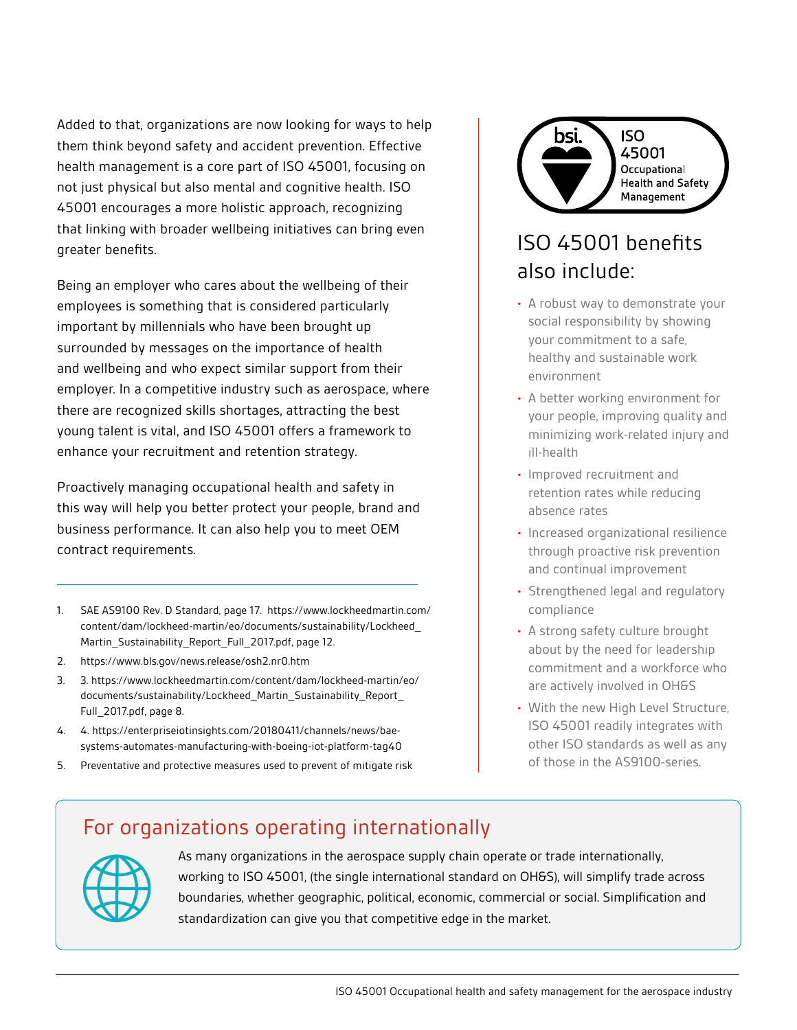Added to that, organizations are now looking for ways to help them think beyond safety and accident prevention. Effective health management is a core part of ISO 45001, focusing on not just physical but also mental and cognitive health. ISO 45001 encourages a more holistic approach, recognizing that linking with broader wellbeing initiatives can bring even greater benefits.

Being an employer who cares about the wellbeing of their employees is something that is considered particularly important by millennials who have been brought up surrounded by messages on the importance of health and wellbeing and who expect similar support from their employer. In a competitive industry such as aerospace, where there are recognized skills shortages, attracting the best young talent is vital, and ISO 45001 offers a framework to enhance your recruitment and retention strategy.

Proactively managing occupational health and safety in this way will help you better protect your people, brand and business performance. It can also help you to meet OEM contract requirements.

- 1. SAE AS9100 Rev. D Standard, page 17. https://www.lockheedmartin.com/ content/dam/lockheed-martin/eo/documents/sustainability/Lockheed\_ Martin\_Sustainability\_Report\_Full\_2017.pdf, page 12.
- 2. [https://www.bls.gov/news.release/osh2.nr0.htm](https://media.ford.com/content/fordmedia/fna/us/en/news/2017/11/09/ford-exoskeleton-technology-pilot)
- 3. 3. https://www.lockheedmartin.com/content/dam/lockheed-martin/eo/ documents/sustainability/Lockheed\_Martin\_Sustainability\_Report\_ Full\_2017.pdf, page 8.
- 4. 4. https://enterpriseiotinsights.com/20180411/channels/news/baesystems-automates-manufacturing-with-boeing-iot-platform-tag40
- 5. Preventative and protective measures used to prevent of mitigate risk



## ISO 45001 benefits also include:

- A robust way to demonstrate your social responsibility by showing your commitment to a safe, healthy and sustainable work environment
- A better working environment for your people, improving quality and minimizing work-related injury and ill-health
- Improved recruitment and retention rates while reducing absence rates
- Increased organizational resilience through proactive risk prevention and continual improvement
- Strengthened legal and regulatory compliance
- A strong safety culture brought about by the need for leadership commitment and a workforce who are actively involved in OH&S
- With the new High Level Structure, ISO 45001 readily integrates with other ISO standards as well as any of those in the AS9100-series.

#### For organizations operating internationally



As many organizations in the aerospace supply chain operate or trade internationally, working to ISO 45001, (the single international standard on OH&S), will simplify trade across boundaries, whether geographic, political, economic, commercial or social. Simplification and standardization can give you that competitive edge in the market.